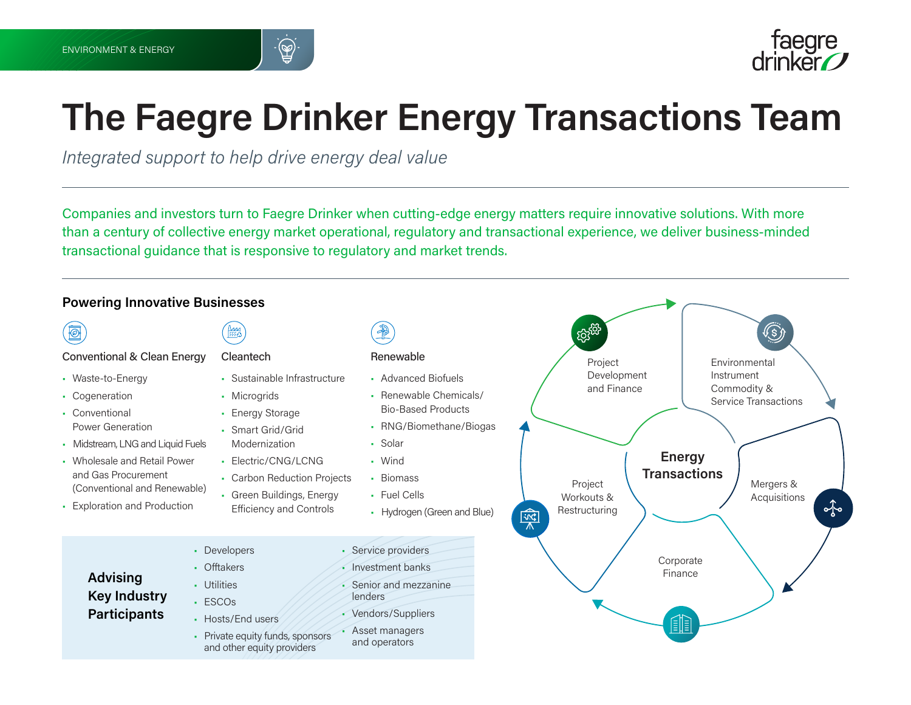



# **The Faegre Drinker Energy Transactions Team**

*Integrated support to help drive energy deal value*

Companies and investors turn to Faegre Drinker when cutting-edge energy matters require innovative solutions. With more than a century of collective energy market operational, regulatory and transactional experience, we deliver business-minded transactional guidance that is responsive to regulatory and market trends.